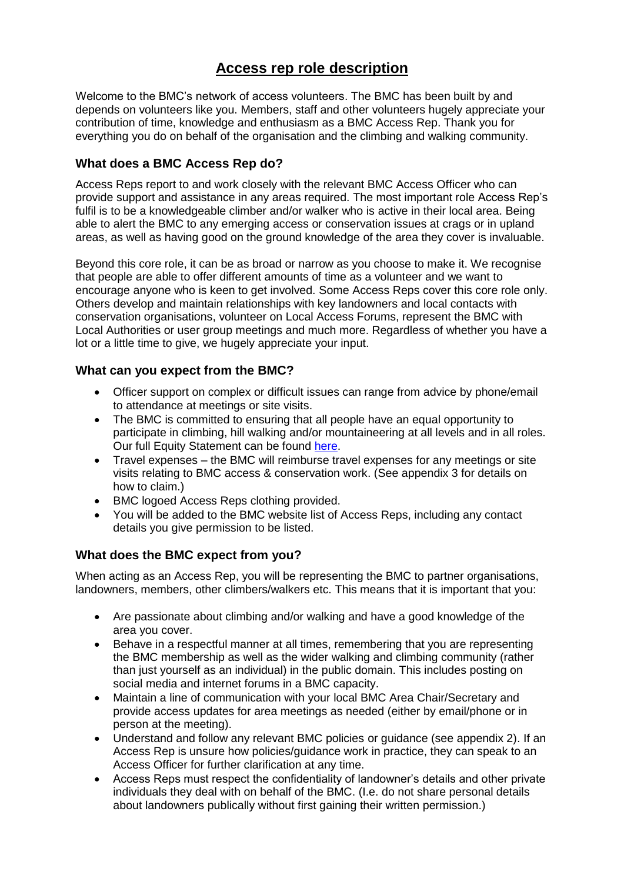# **Access rep role description**

Welcome to the BMC's network of access volunteers. The BMC has been built by and depends on volunteers like you. Members, staff and other volunteers hugely appreciate your contribution of time, knowledge and enthusiasm as a BMC Access Rep. Thank you for everything you do on behalf of the organisation and the climbing and walking community.

## **What does a BMC Access Rep do?**

Access Reps report to and work closely with the relevant BMC Access Officer who can provide support and assistance in any areas required. The most important role Access Rep's fulfil is to be a knowledgeable climber and/or walker who is active in their local area. Being able to alert the BMC to any emerging access or conservation issues at crags or in upland areas, as well as having good on the ground knowledge of the area they cover is invaluable.

Beyond this core role, it can be as broad or narrow as you choose to make it. We recognise that people are able to offer different amounts of time as a volunteer and we want to encourage anyone who is keen to get involved. Some Access Reps cover this core role only. Others develop and maintain relationships with key landowners and local contacts with conservation organisations, volunteer on Local Access Forums, represent the BMC with Local Authorities or user group meetings and much more. Regardless of whether you have a lot or a little time to give, we hugely appreciate your input.

### **What can you expect from the BMC?**

- Officer support on complex or difficult issues can range from advice by phone/email to attendance at meetings or site visits.
- The BMC is committed to ensuring that all people have an equal opportunity to participate in climbing, hill walking and/or mountaineering at all levels and in all roles. Our full Equity Statement can be found [here.](https://www.thebmc.co.uk/bmc-equity-statement)
- Travel expenses the BMC will reimburse travel expenses for any meetings or site visits relating to BMC access & conservation work. (See appendix 3 for details on how to claim.)
- BMC logoed Access Reps clothing provided.
- You will be added to the BMC website list of Access Reps, including any contact details you give permission to be listed.

# **What does the BMC expect from you?**

When acting as an Access Rep, you will be representing the BMC to partner organisations, landowners, members, other climbers/walkers etc. This means that it is important that you:

- Are passionate about climbing and/or walking and have a good knowledge of the area you cover.
- Behave in a respectful manner at all times, remembering that you are representing the BMC membership as well as the wider walking and climbing community (rather than just yourself as an individual) in the public domain. This includes posting on social media and internet forums in a BMC capacity.
- Maintain a line of communication with your local BMC Area Chair/Secretary and provide access updates for area meetings as needed (either by email/phone or in person at the meeting).
- Understand and follow any relevant BMC policies or guidance (see appendix 2). If an Access Rep is unsure how policies/guidance work in practice, they can speak to an Access Officer for further clarification at any time.
- Access Reps must respect the confidentiality of landowner's details and other private individuals they deal with on behalf of the BMC. (I.e. do not share personal details about landowners publically without first gaining their written permission.)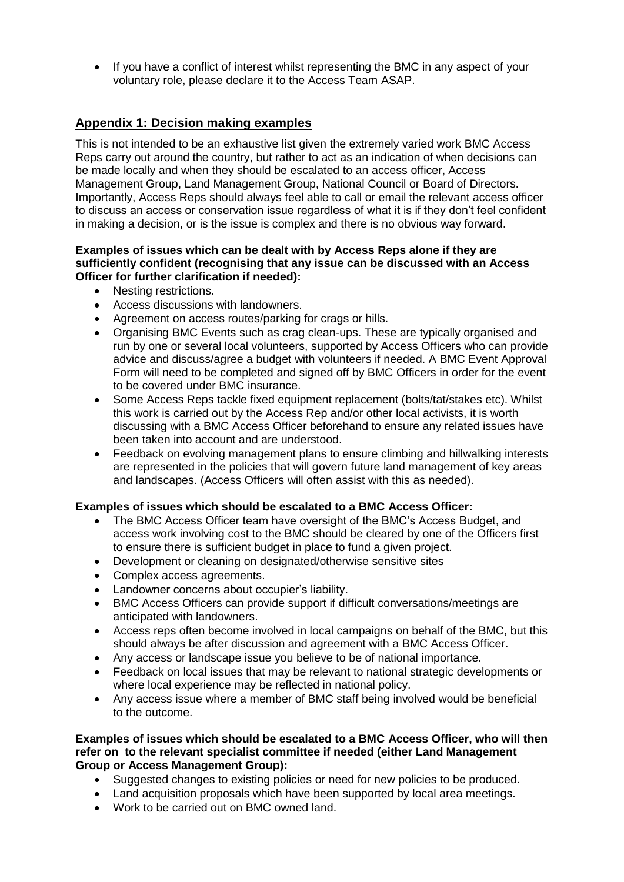• If you have a conflict of interest whilst representing the BMC in any aspect of your voluntary role, please declare it to the Access Team ASAP.

# **Appendix 1: Decision making examples**

This is not intended to be an exhaustive list given the extremely varied work BMC Access Reps carry out around the country, but rather to act as an indication of when decisions can be made locally and when they should be escalated to an access officer, Access Management Group, Land Management Group, National Council or Board of Directors. Importantly, Access Reps should always feel able to call or email the relevant access officer to discuss an access or conservation issue regardless of what it is if they don't feel confident in making a decision, or is the issue is complex and there is no obvious way forward.

#### **Examples of issues which can be dealt with by Access Reps alone if they are sufficiently confident (recognising that any issue can be discussed with an Access Officer for further clarification if needed):**

- Nesting restrictions.
- Access discussions with landowners.
- Agreement on access routes/parking for crags or hills.
- Organising BMC Events such as crag clean-ups. These are typically organised and run by one or several local volunteers, supported by Access Officers who can provide advice and discuss/agree a budget with volunteers if needed. A BMC Event Approval Form will need to be completed and signed off by BMC Officers in order for the event to be covered under BMC insurance.
- Some Access Reps tackle fixed equipment replacement (bolts/tat/stakes etc). Whilst this work is carried out by the Access Rep and/or other local activists, it is worth discussing with a BMC Access Officer beforehand to ensure any related issues have been taken into account and are understood.
- Feedback on evolving management plans to ensure climbing and hillwalking interests are represented in the policies that will govern future land management of key areas and landscapes. (Access Officers will often assist with this as needed).

#### **Examples of issues which should be escalated to a BMC Access Officer:**

- The BMC Access Officer team have oversight of the BMC's Access Budget, and access work involving cost to the BMC should be cleared by one of the Officers first to ensure there is sufficient budget in place to fund a given project.
- Development or cleaning on designated/otherwise sensitive sites
- Complex access agreements.
- Landowner concerns about occupier's liability.
- BMC Access Officers can provide support if difficult conversations/meetings are anticipated with landowners.
- Access reps often become involved in local campaigns on behalf of the BMC, but this should always be after discussion and agreement with a BMC Access Officer.
- Any access or landscape issue you believe to be of national importance.
- Feedback on local issues that may be relevant to national strategic developments or where local experience may be reflected in national policy.
- Any access issue where a member of BMC staff being involved would be beneficial to the outcome.

#### **Examples of issues which should be escalated to a BMC Access Officer, who will then refer on to the relevant specialist committee if needed (either Land Management Group or Access Management Group):**

- Suggested changes to existing policies or need for new policies to be produced.
- Land acquisition proposals which have been supported by local area meetings.
- Work to be carried out on BMC owned land.